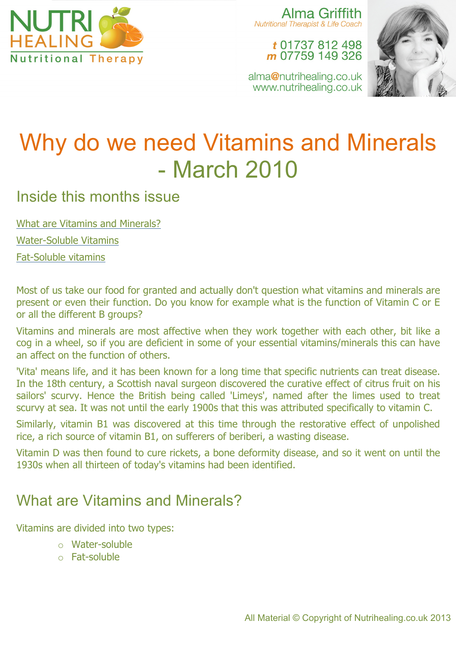

Alma Griffith **Nutritional Therapist & Life Coach** 

> t 01737 812 498 m 07759 149 326

alma@nutrihealing.co.uk www.nutrihealing.co.uk



# Why do we need Vitamins and Minerals - March 2010

## Inside this months issue

What are Vitamins and Minerals?

Water-Soluble Vitamins

Fat-Soluble vitamins

Most of us take our food for granted and actually don't question what vitamins and minerals are present or even their function. Do you know for example what is the function of Vitamin C or E or all the different B groups?

Vitamins and minerals are most affective when they work together with each other, bit like a cog in a wheel, so if you are deficient in some of your essential vitamins/minerals this can have an affect on the function of others.

'Vita' means life, and it has been known for a long time that specific nutrients can treat disease. In the 18th century, a Scottish naval surgeon discovered the curative effect of citrus fruit on his sailors' scurvy. Hence the British being called 'Limeys', named after the limes used to treat scurvy at sea. It was not until the early 1900s that this was attributed specifically to vitamin C.

Similarly, vitamin B1 was discovered at this time through the restorative effect of unpolished rice, a rich source of vitamin B1, on sufferers of beriberi, a wasting disease.

Vitamin D was then found to cure rickets, a bone deformity disease, and so it went on until the 1930s when all thirteen of today's vitamins had been identified.

# What are Vitamins and Minerals?

Vitamins are divided into two types:

- o Water-soluble
- o Fat-soluble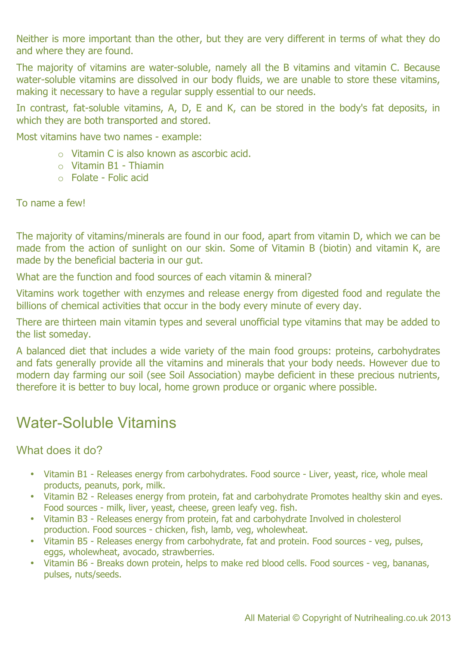Neither is more important than the other, but they are very different in terms of what they do and where they are found.

The majority of vitamins are water-soluble, namely all the B vitamins and vitamin C. Because water-soluble vitamins are dissolved in our body fluids, we are unable to store these vitamins, making it necessary to have a regular supply essential to our needs.

In contrast, fat-soluble vitamins, A, D, E and K, can be stored in the body's fat deposits, in which they are both transported and stored.

Most vitamins have two names - example:

- o Vitamin C is also known as ascorbic acid.
- $\circ$  Vitamin B1 Thiamin
- o Folate Folic acid

To name a few!

The majority of vitamins/minerals are found in our food, apart from vitamin D, which we can be made from the action of sunlight on our skin. Some of Vitamin B (biotin) and vitamin K, are made by the beneficial bacteria in our gut.

What are the function and food sources of each vitamin & mineral?

Vitamins work together with enzymes and release energy from digested food and regulate the billions of chemical activities that occur in the body every minute of every day.

There are thirteen main vitamin types and several unofficial type vitamins that may be added to the list someday.

A balanced diet that includes a wide variety of the main food groups: proteins, carbohydrates and fats generally provide all the vitamins and minerals that your body needs. However due to modern day farming our soil (see Soil Association) maybe deficient in these precious nutrients, therefore it is better to buy local, home grown produce or organic where possible.

## Water-Soluble Vitamins

#### What does it do?

- Vitamin B1 Releases energy from carbohydrates. Food source Liver, yeast, rice, whole meal products, peanuts, pork, milk.
- Vitamin B2 Releases energy from protein, fat and carbohydrate Promotes healthy skin and eyes. Food sources - milk, liver, yeast, cheese, green leafy veg. fish.
- Vitamin B3 Releases energy from protein, fat and carbohydrate Involved in cholesterol production. Food sources - chicken, fish, lamb, veg, wholewheat.
- Vitamin B5 Releases energy from carbohydrate, fat and protein. Food sources veg, pulses, eggs, wholewheat, avocado, strawberries.
- Vitamin B6 Breaks down protein, helps to make red blood cells. Food sources veg, bananas, pulses, nuts/seeds.